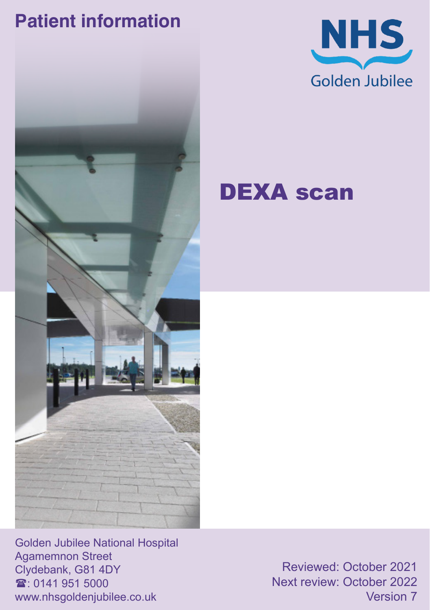## **Patient information**





## DEXA scan

Golden Jubilee National Hospital Agamemnon Street Clydebank, G81 4DY  $\mathbf{\hat{a}}$ : 0141 951 5000 www.nhsgoldenjubilee.co.uk

Reviewed: October 2021 Next review: October 2022 Version 7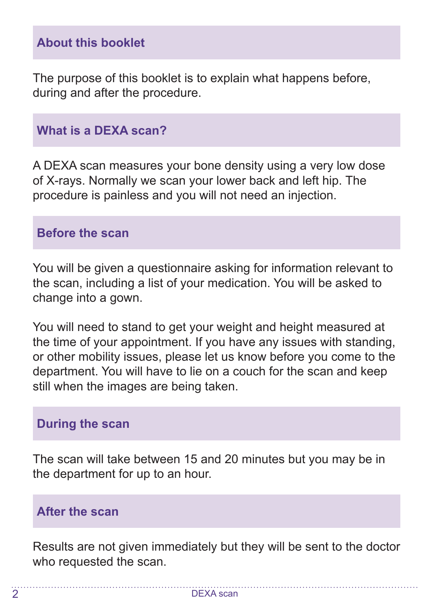#### **About this booklet**

The purpose of this booklet is to explain what happens before, during and after the procedure.

#### **What is a DEXA scan?**

A DEXA scan measures your bone density using a very low dose of X-rays. Normally we scan your lower back and left hip. The procedure is painless and you will not need an injection.

#### **Before the scan**

You will be given a questionnaire asking for information relevant to the scan, including a list of your medication. You will be asked to change into a gown.

You will need to stand to get your weight and height measured at the time of your appointment. If you have any issues with standing, or other mobility issues, please let us know before you come to the department. You will have to lie on a couch for the scan and keep still when the images are being taken.

#### **During the scan**

The scan will take between 15 and 20 minutes but you may be in the department for up to an hour.

#### **After the scan**

Results are not given immediately but they will be sent to the doctor who requested the scan.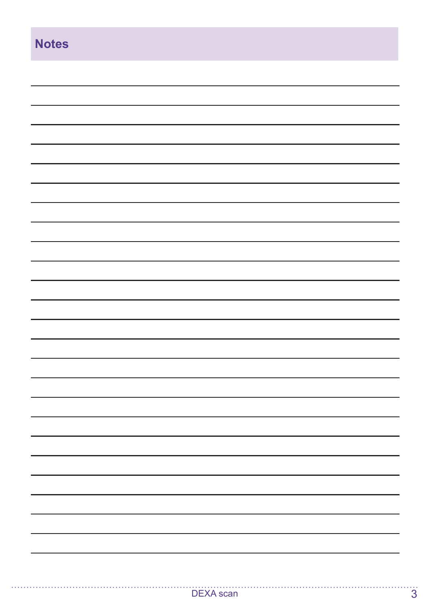| <b>Notes</b> |
|--------------|
|              |
|              |
|              |
|              |
|              |
|              |
|              |
|              |
|              |
|              |
|              |
|              |
|              |
|              |
|              |
|              |
|              |
|              |